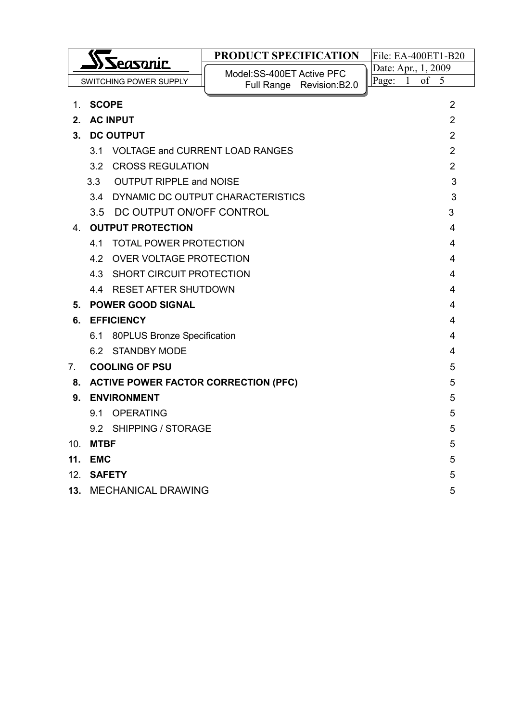|                                |                                              |                                     | PRODUCT SPECIFICATION                 | File: EA-400ET1-B20 |  |
|--------------------------------|----------------------------------------------|-------------------------------------|---------------------------------------|---------------------|--|
|                                | <b>Seasonic</b>                              |                                     | Model: SS-400ET Active PFC            | Date: Apr., 1, 2009 |  |
|                                |                                              | SWITCHING POWER SUPPLY              | Full Range Revision: B2.0             | of 5<br>Page: $1$   |  |
| $1_{-}$                        | <b>SCOPE</b>                                 |                                     |                                       | 2                   |  |
| $2_{-}$                        |                                              | <b>AC INPUT</b>                     |                                       | $\overline{2}$      |  |
| $3_{-}$                        |                                              | <b>DC OUTPUT</b>                    |                                       | $\overline{2}$      |  |
|                                |                                              | 3.1 VOLTAGE and CURRENT LOAD RANGES |                                       | 2                   |  |
|                                |                                              | 3.2 CROSS REGULATION                |                                       | $\overline{2}$      |  |
|                                | 3.3                                          | <b>OUTPUT RIPPLE and NOISE</b>      |                                       | 3                   |  |
|                                |                                              |                                     | 3.4 DYNAMIC DC OUTPUT CHARACTERISTICS | 3                   |  |
|                                |                                              | 3.5 DC OUTPUT ON/OFF CONTROL        |                                       | 3                   |  |
| 4.                             |                                              | <b>OUTPUT PROTECTION</b>            |                                       | 4                   |  |
|                                | 41                                           | <b>TOTAL POWER PROTECTION</b><br>4  |                                       |                     |  |
|                                | 4.2                                          | OVER VOLTAGE PROTECTION<br>4        |                                       |                     |  |
|                                |                                              | 4.3 SHORT CIRCUIT PROTECTION<br>4   |                                       |                     |  |
|                                | 4.4 RESET AFTER SHUTDOWN<br>4                |                                     |                                       |                     |  |
| 5.                             | <b>POWER GOOD SIGNAL</b><br>4                |                                     |                                       |                     |  |
| 6.                             | <b>EFFICIENCY</b><br>4                       |                                     |                                       |                     |  |
|                                | 80PLUS Bronze Specification<br>6.1<br>4      |                                     |                                       |                     |  |
|                                |                                              | 6.2 STANDBY MODE                    |                                       | 4                   |  |
| $7_{\scriptscriptstyle{\sim}}$ | <b>COOLING OF PSU</b><br>5                   |                                     |                                       |                     |  |
|                                | 8. ACTIVE POWER FACTOR CORRECTION (PFC)<br>5 |                                     |                                       |                     |  |
| 9.                             | <b>ENVIRONMENT</b><br>5                      |                                     |                                       |                     |  |
|                                |                                              | 9.1 OPERATING                       |                                       | 5                   |  |
|                                | 9.2 SHIPPING / STORAGE<br>5                  |                                     |                                       |                     |  |
| 10.                            | <b>MTBF</b>                                  |                                     |                                       | 5                   |  |
| 11.                            | <b>EMC</b>                                   |                                     |                                       | 5                   |  |
|                                | 12 SAFETY                                    |                                     |                                       | 5                   |  |
| 13.                            | <b>MECHANICAL DRAWING</b><br>5               |                                     |                                       |                     |  |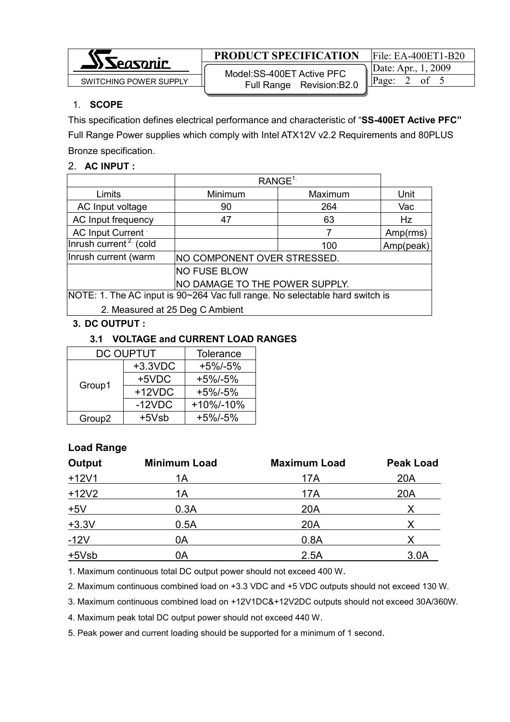

SWITCHING POWER SUPPLY  $\begin{array}{|c|c|c|c|c|c|c|c|c|}\n\hline\n\text{SWITCHING POWER SUPPLY} & \text{WIOUEI .53-400E I ACIVE FFC} & \text{Page:} & 2 & \text{of} & 5\n\end{array}$ Model:SS-400ET Active PFC Full Range Revision:B2.0

Date: Apr., 1, 2009

## 1. SCOPE

This specification defines electrical performance and characteristic of "SS-400ET Active PFC" Full Range Power supplies which comply with Intel ATX12V v2.2 Requirements and 80PLUS Bronze specification.

## 2. AC INPUT :

|                                                                              | RANGE <sup>1</sup>          |         |           |
|------------------------------------------------------------------------------|-----------------------------|---------|-----------|
| Limits                                                                       | Minimum                     | Maximum | Unit      |
| AC Input voltage                                                             | 90                          | 264     | Vac       |
| AC Input frequency                                                           | 47                          | 63      | Hz        |
| AC Input Current                                                             |                             |         | Amp(rms)  |
| Inrush current <sup>2</sup> (cold                                            |                             | 100     | Amp(peak) |
| Inrush current (warm                                                         | NO COMPONENT OVER STRESSED. |         |           |
|                                                                              | <b>NO FUSE BLOW</b>         |         |           |
| NO DAMAGE TO THE POWER SUPPLY.                                               |                             |         |           |
| NOTE: 1. The AC input is 90~264 Vac full range. No selectable hard switch is |                             |         |           |
| 2. Measured at 25 Deg C Ambient                                              |                             |         |           |

## 3. DC OUTPUT :

## 3.1 VOLTAGE and CURRENT LOAD RANGES

| DC OUPTUT          | Tolerance  |             |
|--------------------|------------|-------------|
|                    | $+3.3$ VDC | $+5\%/-5\%$ |
| Group1             | +5VDC      | $+5\%/-5\%$ |
|                    | $+12VDC$   | $+5\%/-5\%$ |
|                    | $-12VDC$   | +10%/-10%   |
| Group <sub>2</sub> | +5Vsb      | $+5\%/-5\%$ |

# Load Range

| Output  | <b>Minimum Load</b> | <b>Maximum Load</b> | <b>Peak Load</b> |
|---------|---------------------|---------------------|------------------|
| $+12V1$ | 1A                  | 17A                 | 20A              |
| $+12V2$ | 1А                  | 17A                 | 20A              |
| ±5V     | 0.3A                | 20A                 |                  |
| $+3.3V$ | 0.5A                | 20A                 |                  |
| $-12V$  | 0A                  | 0.8A                |                  |
| $+5Vsb$ | 0Α                  | 2.5A                | 3.0A             |

1. Maximum continuous total DC output power should not exceed 400 W.

2. Maximum continuous combined load on +3.3 VDC and +5 VDC outputs should not exceed 130 W.

3. Maximum continuous combined load on +12V1DC&+12V2DC outputs should not exceed 30A/360W.

4. Maximum peak total DC output power should not exceed 440 W.

5. Peak power and current loading should be supported for a minimum of 1 second.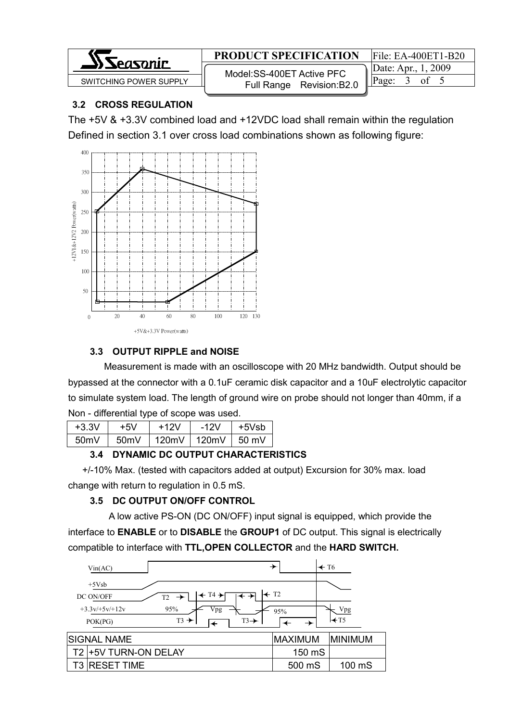

 SWITCHING POWER SUPPLY Page: 3 of 5 Model:SS-400ET Active PFC Full Range Revision:B2.0

Date: Apr., 1, 2009

## 3.2 CROSS REGULATION

The +5V & +3.3V combined load and +12VDC load shall remain within the regulation Defined in section 3.1 over cross load combinations shown as following figure:



## 3.3 OUTPUT RIPPLE and NOISE

 Measurement is made with an oscilloscope with 20 MHz bandwidth. Output should be bypassed at the connector with a 0.1uF ceramic disk capacitor and a 10uF electrolytic capacitor to simulate system load. The length of ground wire on probe should not longer than 40mm, if a Non - differential type of scope was used.

| $+3.3V$ | +5V  | +12V  | $-12V$ | $+5Vsh$ |
|---------|------|-------|--------|---------|
| 50mV    | 50mV | 120mV | 120mV  | 50 mV   |

# 3.4 DYNAMIC DC OUTPUT CHARACTERISTICS

 +/-10% Max. (tested with capacitors added at output) Excursion for 30% max. load change with return to regulation in 0.5 mS.

# 3.5 DC OUTPUT ON/OFF CONTROL

 A low active PS-ON (DC ON/OFF) input signal is equipped, which provide the interface to **ENABLE** or to **DISABLE** the **GROUP1** of DC output. This signal is electrically compatible to interface with TTL,OPEN COLLECTOR and the HARD SWITCH.

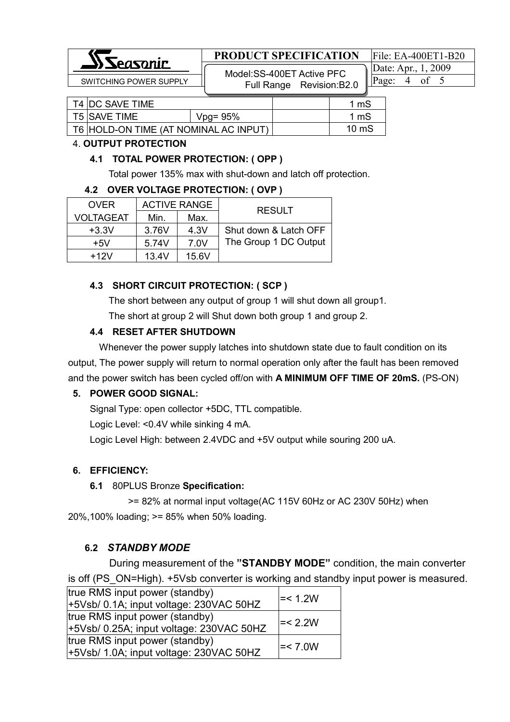

 SWITCHING POWER SUPPLY Page: 4 of 5 Model:SS-400ET Active PFC Full Range Revision:B2.0

Date: Apr., 1, 2009

| T4 IDC SAVE TIME                      |             | 1 mS            |
|---------------------------------------|-------------|-----------------|
| T5 SAVE TIME                          | $Vpg = 95%$ | 1 mS            |
| T6 HOLD-ON TIME (AT NOMINAL AC INPUT) |             | $10 \text{ mS}$ |

#### 4. OUTPUT PROTECTION

#### 4.1 TOTAL POWER PROTECTION: ( OPP )

Total power 135% max with shut-down and latch off protection.

#### 4.2 OVER VOLTAGE PROTECTION: ( OVP )

| <b>OVER</b>      | <b>ACTIVE RANGE</b> |       | <b>RESULT</b>         |
|------------------|---------------------|-------|-----------------------|
| <b>VOLTAGEAT</b> | Min.                | Max.  |                       |
| $+3.3V$          | 3.76V               | 4.3V  | Shut down & Latch OFF |
| $+5V$            | 5.74V               | 7.0V  | The Group 1 DC Output |
| $+12V$           | 13.4V               | 15.6V |                       |

#### 4.3 SHORT CIRCUIT PROTECTION: ( SCP )

The short between any output of group 1 will shut down all group1.

The short at group 2 will Shut down both group 1 and group 2.

#### 4.4 RESET AFTER SHUTDOWN

 Whenever the power supply latches into shutdown state due to fault condition on its output, The power supply will return to normal operation only after the fault has been removed and the power switch has been cycled off/on with A MINIMUM OFF TIME OF 20mS. (PS-ON)

#### 5. POWER GOOD SIGNAL:

Signal Type: open collector +5DC, TTL compatible.

Logic Level: <0.4V while sinking 4 mA.

Logic Level High: between 2.4VDC and +5V output while souring 200 uA.

#### 6. EFFICIENCY:

#### 6.1 80PLUS Bronze Specification:

 >= 82% at normal input voltage(AC 115V 60Hz or AC 230V 50Hz) when 20%,100% loading; >= 85% when 50% loading.

#### 6.2 STANDBY MODE

During measurement of the "STANDBY MODE" condition, the main converter is off (PS\_ON=High). +5Vsb converter is working and standby input power is measured.

| true RMS input power (standby)<br>+5Vsb/ 0.1A; input voltage: 230VAC 50HZ  | $\le$ 1.2W |
|----------------------------------------------------------------------------|------------|
| true RMS input power (standby)<br>+5Vsb/ 0.25A; input voltage: 230VAC 50HZ | $\le$ 2.2W |
| true RMS input power (standby)<br>+5Vsb/ 1.0A; input voltage: 230VAC 50HZ  | $=< 7.0W$  |